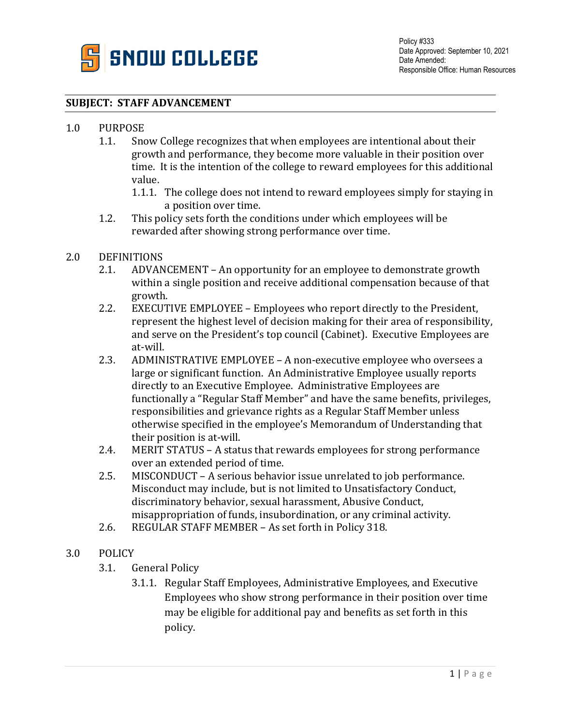

#### **SUBJECT: STAFF ADVANCEMENT**

# 1.0 PURPOSE<br>1.1. Sno

- Snow College recognizes that when employees are intentional about their growth and performance, they become more valuable in their position over time. It is the intention of the college to reward employees for this additional value.
	- 1.1.1. The college does not intend to reward employees simply for staying in a position over time.
- 1.2. This policy sets forth the conditions under which employees will be rewarded after showing strong performance over time.

## 2.0 DEFINITIONS<br>2.1. ADVAN

- 2.1. ADVANCEMENT An opportunity for an employee to demonstrate growth within a single position and receive additional compensation because of that growth.
- 2.2. EXECUTIVE EMPLOYEE Employees who report directly to the President, represent the highest level of decision making for their area of responsibility, and serve on the President's top council (Cabinet). Executive Employees are at-will.
- 2.3. ADMINISTRATIVE EMPLOYEE A non-executive employee who oversees a large or significant function. An Administrative Employee usually reports directly to an Executive Employee. Administrative Employees are functionally a "Regular Staff Member" and have the same benefits, privileges, responsibilities and grievance rights as a Regular Staff Member unless otherwise specified in the employee's Memorandum of Understanding that their position is at-will.
- 2.4. MERIT STATUS A status that rewards employees for strong performance over an extended period of time.
- 2.5. MISCONDUCT A serious behavior issue unrelated to job performance. Misconduct may include, but is not limited to Unsatisfactory Conduct, discriminatory behavior, sexual harassment, Abusive Conduct, misappropriation of funds, insubordination, or any criminal activity.
- 2.6. REGULAR STAFF MEMBER As set forth in Policy 318.
- 3.0 POLICY
	- 3.1. General Policy
		- 3.1.1. Regular Staff Employees, Administrative Employees, and Executive Employees who show strong performance in their position over time may be eligible for additional pay and benefits as set forth in this policy.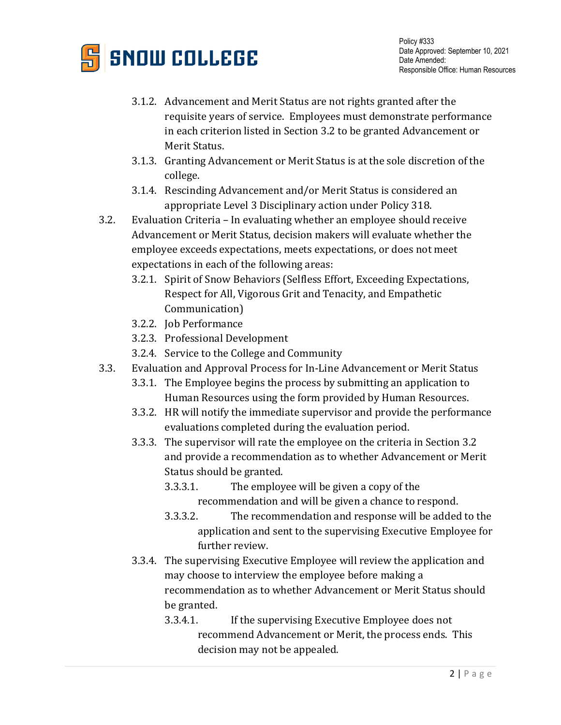

- 3.1.2. Advancement and Merit Status are not rights granted after the requisite years of service. Employees must demonstrate performance in each criterion listed in Section 3.2 to be granted Advancement or Merit Status.
- 3.1.3. Granting Advancement or Merit Status is at the sole discretion of the college.
- 3.1.4. Rescinding Advancement and/or Merit Status is considered an appropriate Level 3 Disciplinary action under Policy 318.
- 3.2. Evaluation Criteria In evaluating whether an employee should receive Advancement or Merit Status, decision makers will evaluate whether the employee exceeds expectations, meets expectations, or does not meet expectations in each of the following areas:
	- 3.2.1. Spirit of Snow Behaviors (Selfless Effort, Exceeding Expectations, Respect for All, Vigorous Grit and Tenacity, and Empathetic Communication)
	- 3.2.2. Job Performance
	- 3.2.3. Professional Development
	- 3.2.4. Service to the College and Community
- 3.3. Evaluation and Approval Process for In-Line Advancement or Merit Status
	- 3.3.1. The Employee begins the process by submitting an application to Human Resources using the form provided by Human Resources.
	- 3.3.2. HR will notify the immediate supervisor and provide the performance evaluations completed during the evaluation period.
	- 3.3.3. The supervisor will rate the employee on the criteria in Section 3.2 and provide a recommendation as to whether Advancement or Merit Status should be granted.
		- 3.3.3.1. The employee will be given a copy of the recommendation and will be given a chance to respond.
		- 3.3.3.2. The recommendation and response will be added to the application and sent to the supervising Executive Employee for further review.
	- 3.3.4. The supervising Executive Employee will review the application and may choose to interview the employee before making a recommendation as to whether Advancement or Merit Status should be granted.
		- 3.3.4.1. If the supervising Executive Employee does not recommend Advancement or Merit, the process ends. This decision may not be appealed.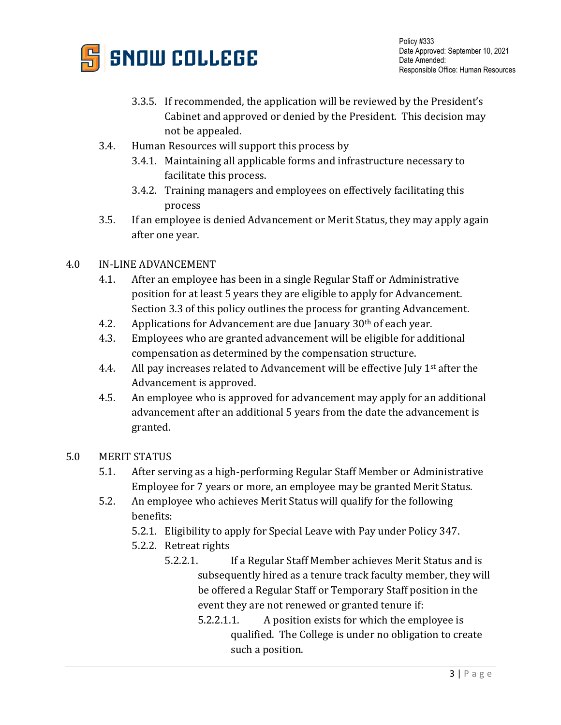

- 3.3.5. If recommended, the application will be reviewed by the President's Cabinet and approved or denied by the President. This decision may not be appealed.
- 3.4. Human Resources will support this process by
	- 3.4.1. Maintaining all applicable forms and infrastructure necessary to facilitate this process.
	- 3.4.2. Training managers and employees on effectively facilitating this process
- 3.5. If an employee is denied Advancement or Merit Status, they may apply again after one year.

### 4.0 IN-LINE ADVANCEMENT

- 4.1. After an employee has been in a single Regular Staff or Administrative position for at least 5 years they are eligible to apply for Advancement. Section 3.3 of this policy outlines the process for granting Advancement.
- 4.2. Applications for Advancement are due January  $30<sup>th</sup>$  of each year.
- 4.3. Employees who are granted advancement will be eligible for additional compensation as determined by the compensation structure.
- 4.4. All pay increases related to Advancement will be effective July  $1<sup>st</sup>$  after the Advancement is approved.
- 4.5. An employee who is approved for advancement may apply for an additional advancement after an additional 5 years from the date the advancement is granted.

### 5.0 MERIT STATUS

- 5.1. After serving as a high-performing Regular Staff Member or Administrative Employee for 7 years or more, an employee may be granted Merit Status.
- 5.2. An employee who achieves Merit Status will qualify for the following benefits:
	- 5.2.1. Eligibility to apply for Special Leave with Pay under Policy 347.
	- 5.2.2. Retreat rights
		- 5.2.2.1. If a Regular Staff Member achieves Merit Status and is subsequently hired as a tenure track faculty member, they will be offered a Regular Staff or Temporary Staff position in the event they are not renewed or granted tenure if:
			- 5.2.2.1.1. A position exists for which the employee is qualified. The College is under no obligation to create such a position.